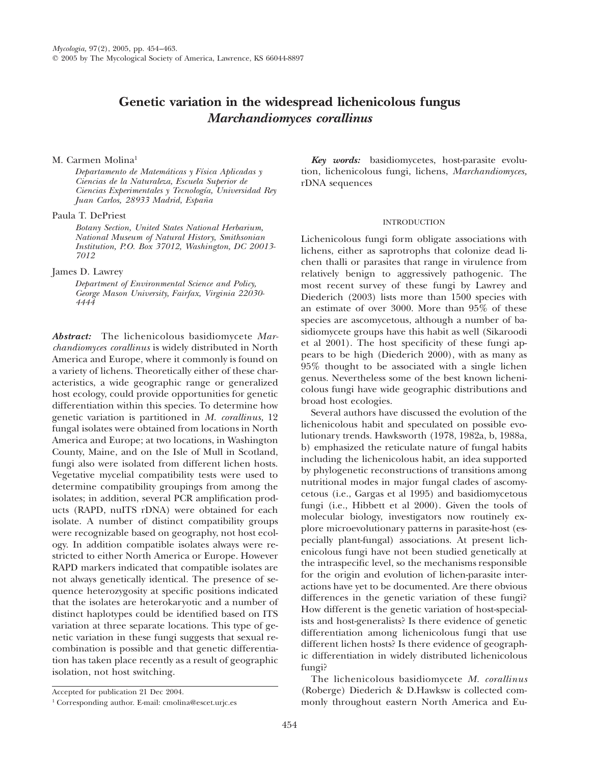# **Genetic variation in the widespread lichenicolous fungus** *Marchandiomyces corallinus*

M. Carmen Molina<sup>1</sup>

*Departamento de Matema´ticas y Fı´sica Aplicadas y Ciencias de la Naturaleza, Escuela Superior de Ciencias Experimentales y Tecnologı´a, Universidad Rey Juan Carlos, 28933 Madrid, Espan˜a*

Paula T. DePriest

*Botany Section, United States National Herbarium, National Museum of Natural History, Smithsonian Institution, P.O. Box 37012, Washington, DC 20013- 7012*

James D. Lawrey

*Department of Environmental Science and Policy, George Mason University, Fairfax, Virginia 22030- 4444*

*Abstract:* The lichenicolous basidiomycete *Marchandiomyces corallinus* is widely distributed in North America and Europe, where it commonly is found on a variety of lichens. Theoretically either of these characteristics, a wide geographic range or generalized host ecology, could provide opportunities for genetic differentiation within this species. To determine how genetic variation is partitioned in *M. corallinus,* 12 fungal isolates were obtained from locations in North America and Europe; at two locations, in Washington County, Maine, and on the Isle of Mull in Scotland, fungi also were isolated from different lichen hosts. Vegetative mycelial compatibility tests were used to determine compatibility groupings from among the isolates; in addition, several PCR amplification products (RAPD, nuITS rDNA) were obtained for each isolate. A number of distinct compatibility groups were recognizable based on geography, not host ecology. In addition compatible isolates always were restricted to either North America or Europe. However RAPD markers indicated that compatible isolates are not always genetically identical. The presence of sequence heterozygosity at specific positions indicated that the isolates are heterokaryotic and a number of distinct haplotypes could be identified based on ITS variation at three separate locations. This type of genetic variation in these fungi suggests that sexual recombination is possible and that genetic differentiation has taken place recently as a result of geographic isolation, not host switching.

*Key words:* basidiomycetes, host-parasite evolution, lichenicolous fungi, lichens, *Marchandiomyces,* rDNA sequences

## INTRODUCTION

Lichenicolous fungi form obligate associations with lichens, either as saprotrophs that colonize dead lichen thalli or parasites that range in virulence from relatively benign to aggressively pathogenic. The most recent survey of these fungi by Lawrey and Diederich (2003) lists more than 1500 species with an estimate of over 3000. More than 95% of these species are ascomycetous, although a number of basidiomycete groups have this habit as well (Sikaroodi et al 2001). The host specificity of these fungi appears to be high (Diederich 2000), with as many as 95% thought to be associated with a single lichen genus. Nevertheless some of the best known lichenicolous fungi have wide geographic distributions and broad host ecologies.

Several authors have discussed the evolution of the lichenicolous habit and speculated on possible evolutionary trends. Hawksworth (1978, 1982a, b, 1988a, b) emphasized the reticulate nature of fungal habits including the lichenicolous habit, an idea supported by phylogenetic reconstructions of transitions among nutritional modes in major fungal clades of ascomycetous (i.e., Gargas et al 1995) and basidiomycetous fungi (i.e., Hibbett et al 2000). Given the tools of molecular biology, investigators now routinely explore microevolutionary patterns in parasite-host (especially plant-fungal) associations. At present lichenicolous fungi have not been studied genetically at the intraspecific level, so the mechanisms responsible for the origin and evolution of lichen-parasite interactions have yet to be documented. Are there obvious differences in the genetic variation of these fungi? How different is the genetic variation of host-specialists and host-generalists? Is there evidence of genetic differentiation among lichenicolous fungi that use different lichen hosts? Is there evidence of geographic differentiation in widely distributed lichenicolous fungi?

The lichenicolous basidiomycete *M. corallinus* (Roberge) Diederich & D.Hawksw is collected commonly throughout eastern North America and Eu-

Accepted for publication 21 Dec 2004.

<sup>1</sup> Corresponding author. E-mail: cmolina@escet.urjc.es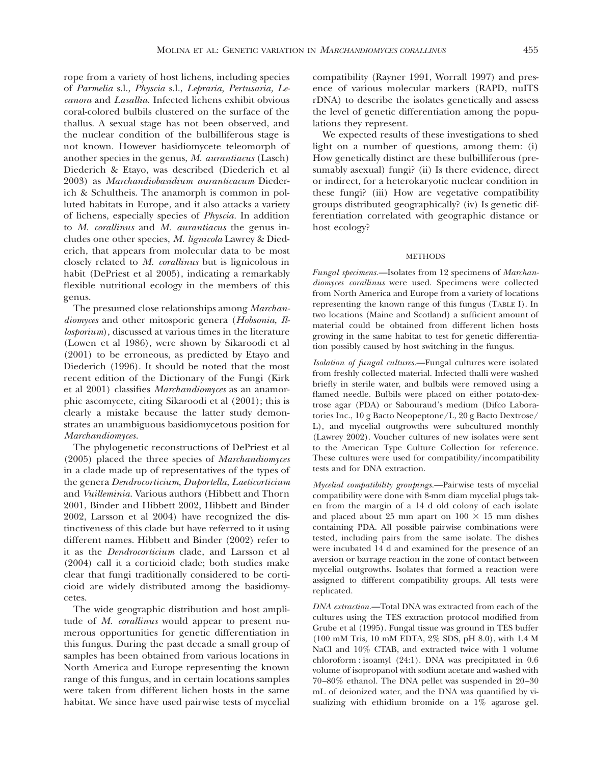rope from a variety of host lichens, including species of *Parmelia* s.l., *Physcia* s.l., *Lepraria, Pertusaria, Lecanora* and *Lasallia.* Infected lichens exhibit obvious coral-colored bulbils clustered on the surface of the thallus. A sexual stage has not been observed, and the nuclear condition of the bulbilliferous stage is not known. However basidiomycete teleomorph of another species in the genus, *M. aurantiacus* (Lasch) Diederich & Etayo, was described (Diederich et al 2003) as *Marchandiobasidium auranticacum* Diederich & Schultheis. The anamorph is common in polluted habitats in Europe, and it also attacks a variety of lichens, especially species of *Physcia.* In addition to *M. corallinus* and *M. aurantiacus* the genus includes one other species, *M. lignicola* Lawrey & Diederich, that appears from molecular data to be most closely related to *M. corallinus* but is lignicolous in habit (DePriest et al 2005), indicating a remarkably flexible nutritional ecology in the members of this genus.

The presumed close relationships among *Marchandiomyces* and other mitosporic genera (*Hobsonia, Illosporium*), discussed at various times in the literature (Lowen et al 1986), were shown by Sikaroodi et al (2001) to be erroneous, as predicted by Etayo and Diederich (1996). It should be noted that the most recent edition of the Dictionary of the Fungi (Kirk et al 2001) classifies *Marchandiomyces* as an anamorphic ascomycete, citing Sikaroodi et al (2001); this is clearly a mistake because the latter study demonstrates an unambiguous basidiomycetous position for *Marchandiomyces.*

The phylogenetic reconstructions of DePriest et al (2005) placed the three species of *Marchandiomyces* in a clade made up of representatives of the types of the genera *Dendrocorticium, Duportella, Laeticorticium* and *Vuilleminia.* Various authors (Hibbett and Thorn 2001, Binder and Hibbett 2002, Hibbett and Binder 2002, Larsson et al 2004) have recognized the distinctiveness of this clade but have referred to it using different names. Hibbett and Binder (2002) refer to it as the *Dendrocorticium* clade, and Larsson et al (2004) call it a corticioid clade; both studies make clear that fungi traditionally considered to be corticioid are widely distributed among the basidiomycetes.

The wide geographic distribution and host amplitude of *M. corallinus* would appear to present numerous opportunities for genetic differentiation in this fungus. During the past decade a small group of samples has been obtained from various locations in North America and Europe representing the known range of this fungus, and in certain locations samples were taken from different lichen hosts in the same habitat. We since have used pairwise tests of mycelial

compatibility (Rayner 1991, Worrall 1997) and presence of various molecular markers (RAPD, nuITS rDNA) to describe the isolates genetically and assess the level of genetic differentiation among the populations they represent.

We expected results of these investigations to shed light on a number of questions, among them: (i) How genetically distinct are these bulbilliferous (presumably asexual) fungi? (ii) Is there evidence, direct or indirect, for a heterokaryotic nuclear condition in these fungi? (iii) How are vegetative compatibility groups distributed geographically? (iv) Is genetic differentiation correlated with geographic distance or host ecology?

### METHODS

*Fungal specimens.*—Isolates from 12 specimens of *Marchandiomyces corallinus* were used. Specimens were collected from North America and Europe from a variety of locations representing the known range of this fungus (TABLE I). In two locations (Maine and Scotland) a sufficient amount of material could be obtained from different lichen hosts growing in the same habitat to test for genetic differentiation possibly caused by host switching in the fungus.

*Isolation of fungal cultures.*—Fungal cultures were isolated from freshly collected material. Infected thalli were washed briefly in sterile water, and bulbils were removed using a flamed needle. Bulbils were placed on either potato-dextrose agar (PDA) or Sabouraud's medium (Difco Laboratories Inc., 10 g Bacto Neopeptone/L, 20 g Bacto Dextrose/ L), and mycelial outgrowths were subcultured monthly (Lawrey 2002). Voucher cultures of new isolates were sent to the American Type Culture Collection for reference. These cultures were used for compatibility/incompatibility tests and for DNA extraction.

*Mycelial compatibility groupings.*—Pairwise tests of mycelial compatibility were done with 8-mm diam mycelial plugs taken from the margin of a 14 d old colony of each isolate and placed about 25 mm apart on  $100 \times 15$  mm dishes containing PDA. All possible pairwise combinations were tested, including pairs from the same isolate. The dishes were incubated 14 d and examined for the presence of an aversion or barrage reaction in the zone of contact between mycelial outgrowths. Isolates that formed a reaction were assigned to different compatibility groups. All tests were replicated.

*DNA extraction.*—Total DNA was extracted from each of the cultures using the TES extraction protocol modified from Grube et al (1995). Fungal tissue was ground in TES buffer (100 mM Tris, 10 mM EDTA, 2% SDS, pH 8.0), with 1.4 M NaCl and 10% CTAB, and extracted twice with 1 volume chloroform : isoamyl (24:1). DNA was precipitated in 0.6 volume of isopropanol with sodium acetate and washed with 70–80% ethanol. The DNA pellet was suspended in 20–30 mL of deionized water, and the DNA was quantified by visualizing with ethidium bromide on a 1% agarose gel.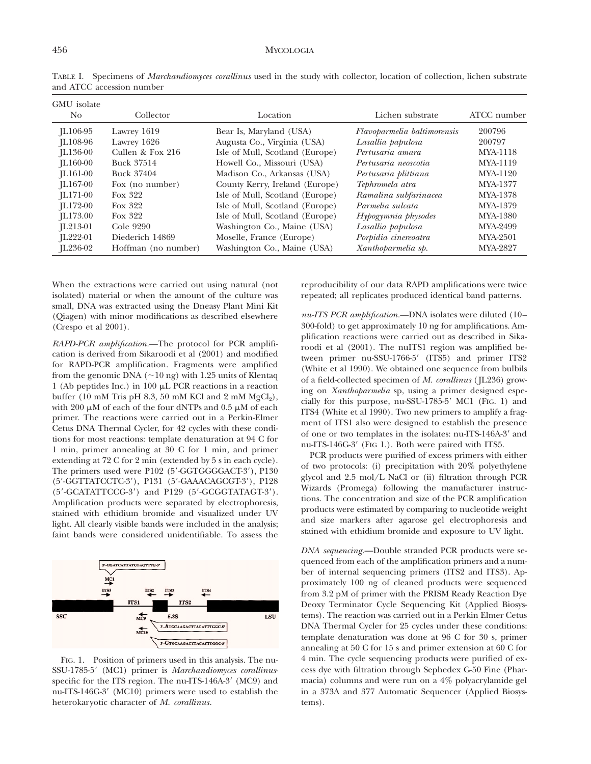### 456 MYCOLOGIA

| GMU isolate    |                     |                                 |                             |                 |
|----------------|---------------------|---------------------------------|-----------------------------|-----------------|
| N <sub>o</sub> | Collector           | Location                        | Lichen substrate            | ATCC number     |
| $IL106-95$     | Lawrey 1619         | Bear Is, Maryland (USA)         | Flavoparmelia baltimorensis | 200796          |
| $IL108-96$     | Lawrey 1626         | Augusta Co., Virginia (USA)     | Lasallia papulosa           | 200797          |
| $IL136-00$     | Cullen & Fox 216    | Isle of Mull, Scotland (Europe) | Pertusaria amara            | MYA-1118        |
| $IL160-00$     | Buck 37514          | Howell Co., Missouri (USA)      | Pertusaria neoscotia        | MYA-1119        |
| $IL161-00$     | Buck 37404          | Madison Co., Arkansas (USA)     | Pertusaria plittiana        | MYA-1120        |
| $IL167-00$     | Fox (no number)     | County Kerry, Ireland (Europe)  | Tephromela atra             | MYA-1377        |
| $IL171-00$     | Fox 322             | Isle of Mull, Scotland (Europe) | Ramalina subfarinacea       | MYA-1378        |
| $IL172-00$     | Fox 322             | Isle of Mull, Scotland (Europe) | Parmelia sulcata            | MYA-1379        |
| IL173.00       | Fox 322             | Isle of Mull, Scotland (Europe) | Hypogymnia physodes         | <b>MYA-1380</b> |
| $IL213-01$     | Cole 9290           | Washington Co., Maine (USA)     | Lasallia papulosa           | MYA-2499        |
| $IL222-01$     | Diederich 14869     | Moselle, France (Europe)        | Porpidia cinereoatra        | <b>MYA-2501</b> |
| $IL236-02$     | Hoffman (no number) | Washington Co., Maine (USA)     | Xanthoparmelia sp.          | MYA-2827        |

TABLE I. Specimens of *Marchandiomyces corallinus* used in the study with collector, location of collection, lichen substrate and ATCC accession number

When the extractions were carried out using natural (not isolated) material or when the amount of the culture was small, DNA was extracted using the Dneasy Plant Mini Kit (Qiagen) with minor modifications as described elsewhere (Crespo et al 2001).

*RAPD-PCR amplification.*—The protocol for PCR amplification is derived from Sikaroodi et al (2001) and modified for RAPD-PCR amplification. Fragments were amplified from the genomic DNA  $(\sim 10 \text{ ng})$  with 1.25 units of Klentaq 1 (Ab peptides Inc.) in 100 mL PCR reactions in a reaction buffer (10 mM Tris pH 8.3, 50 mM KCl and 2 mM  $MgCl<sub>2</sub>$ ), with 200  $\mu$ M of each of the four dNTPs and 0.5  $\mu$ M of each primer. The reactions were carried out in a Perkin-Elmer Cetus DNA Thermal Cycler, for 42 cycles with these conditions for most reactions: template denaturation at 94 C for 1 min, primer annealing at 30 C for 1 min, and primer extending at 72 C for 2 min (extended by 5 s in each cycle). The primers used were P102 (5'-GGTGGGGACT-3'), P130 (5'-GGTTATCCTC-3'), P131 (5'-GAAACAGCGT-3'), P128  $(5'$ -GCATATTCCG-3') and P129  $(5'$ -GCGGTATAGT-3'). Amplification products were separated by electrophoresis, stained with ethidium bromide and visualized under UV light. All clearly visible bands were included in the analysis; faint bands were considered unidentifiable. To assess the



FIG. 1. Position of primers used in this analysis. The nu-SSU-1785-5' (MC1) primer is *Marchandiomyces corallinus*specific for the ITS region. The nu-ITS-146A-3' (MC9) and nu-ITS-146G-3' (MC10) primers were used to establish the heterokaryotic character of *M. corallinus.*

reproducibility of our data RAPD amplifications were twice repeated; all replicates produced identical band patterns.

*nu-ITS PCR amplification.*—DNA isolates were diluted (10– 300-fold) to get approximately 10 ng for amplifications. Amplification reactions were carried out as described in Sikaroodi et al (2001). The nuITS1 region was amplified between primer nu-SSU-1766-5' (ITS5) and primer ITS2 (White et al 1990). We obtained one sequence from bulbils of a field-collected specimen of *M. corallinus* ( JL236) growing on *Xanthoparmelia* sp, using a primer designed especially for this purpose,  $nu\text{-SSU-1785-5'}$  MC1 (FIG. 1) and ITS4 (White et al 1990). Two new primers to amplify a fragment of ITS1 also were designed to establish the presence of one or two templates in the isolates: nu-ITS-146A-3' and nu-ITS-146G-3' (FIG 1.). Both were paired with ITS5.

PCR products were purified of excess primers with either of two protocols: (i) precipitation with 20% polyethylene glycol and 2.5 mol/L NaCl or (ii) filtration through PCR Wizards (Promega) following the manufacturer instructions. The concentration and size of the PCR amplification products were estimated by comparing to nucleotide weight and size markers after agarose gel electrophoresis and stained with ethidium bromide and exposure to UV light.

*DNA sequencing.*—Double stranded PCR products were sequenced from each of the amplification primers and a number of internal sequencing primers (ITS2 and ITS3). Approximately 100 ng of cleaned products were sequenced from 3.2 pM of primer with the PRISM Ready Reaction Dye Deoxy Terminator Cycle Sequencing Kit (Applied Biosystems). The reaction was carried out in a Perkin Elmer Cetus DNA Thermal Cycler for 25 cycles under these conditions: template denaturation was done at 96 C for 30 s, primer annealing at 50 C for 15 s and primer extension at 60 C for 4 min. The cycle sequencing products were purified of excess dye with filtration through Sephedex G-50 Fine (Pharmacia) columns and were run on a 4% polyacrylamide gel in a 373A and 377 Automatic Sequencer (Applied Biosystems).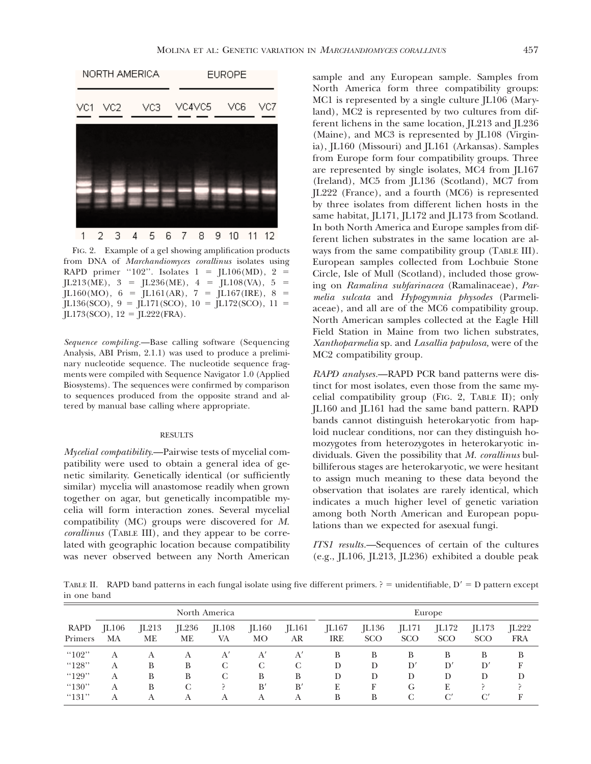

FIG. 2. Example of a gel showing amplification products from DNA of *Marchandiomyces corallinus* isolates using RAPD primer "102". Isolates  $1 = \text{[L106(MD), 2]}$  $[L213(ME), 3 = [L236(ME), 4 = [L108(VA), 5 =$  $JL160(MO)$ , 6 =  $JL161(AR)$ , 7 =  $JL167(IRE)$ , 8 =  $[L136(SCO), 9 = [L171(SCO), 10 = [L172(SCO), 11 =$  $\text{IL173(SCO)}$ ,  $12 = \text{IL222(FRA)}$ .

*Sequence compiling.*—Base calling software (Sequencing Analysis, ABI Prism, 2.1.1) was used to produce a preliminary nucleotide sequence. The nucleotide sequence fragments were compiled with Sequence Navigator 1.0 (Applied Biosystems). The sequences were confirmed by comparison to sequences produced from the opposite strand and altered by manual base calling where appropriate.

## RESULTS

*Mycelial compatibility.*—Pairwise tests of mycelial compatibility were used to obtain a general idea of genetic similarity. Genetically identical (or sufficiently similar) mycelia will anastomose readily when grown together on agar, but genetically incompatible mycelia will form interaction zones. Several mycelial compatibility (MC) groups were discovered for *M. corallinus* (TABLE III), and they appear to be correlated with geographic location because compatibility was never observed between any North American

sample and any European sample. Samples from North America form three compatibility groups: MC1 is represented by a single culture JL106 (Maryland), MC2 is represented by two cultures from different lichens in the same location, JL213 and JL236 (Maine), and MC3 is represented by JL108 (Virginia), JL160 (Missouri) and JL161 (Arkansas). Samples from Europe form four compatibility groups. Three are represented by single isolates, MC4 from JL167 (Ireland), MC5 from JL136 (Scotland), MC7 from JL222 (France), and a fourth (MC6) is represented by three isolates from different lichen hosts in the same habitat, JL171, JL172 and JL173 from Scotland. In both North America and Europe samples from different lichen substrates in the same location are always from the same compatibility group (TABLE III). European samples collected from Lochbuie Stone Circle, Isle of Mull (Scotland), included those growing on *Ramalina subfarinacea* (Ramalinaceae), *Parmelia sulcata* and *Hypogymnia physodes* (Parmeliaceae), and all are of the MC6 compatibility group. North American samples collected at the Eagle Hill Field Station in Maine from two lichen substrates, *Xanthoparmelia* sp. and *Lasallia papulosa,* were of the MC2 compatibility group.

*RAPD analyses.*—RAPD PCR band patterns were distinct for most isolates, even those from the same mycelial compatibility group (FIG. 2, TABLE II); only JL160 and JL161 had the same band pattern. RAPD bands cannot distinguish heterokaryotic from haploid nuclear conditions, nor can they distinguish homozygotes from heterozygotes in heterokaryotic individuals. Given the possibility that *M. corallinus* bulbilliferous stages are heterokaryotic, we were hesitant to assign much meaning to these data beyond the observation that isolates are rarely identical, which indicates a much higher level of genetic variation among both North American and European populations than we expected for asexual fungi.

*ITS1 results.*—Sequences of certain of the cultures (e.g., JL106, JL213, JL236) exhibited a double peak

TABLE II. RAPD band patterns in each fungal isolate using five different primers.  $P =$  unidentifiable,  $D' = D$  pattern except in one band

| North America          |             |             |             | Europe      |             |             |              |                     |                     |                     |                     |                     |
|------------------------|-------------|-------------|-------------|-------------|-------------|-------------|--------------|---------------------|---------------------|---------------------|---------------------|---------------------|
| <b>RAPD</b><br>Primers | JL106<br>МA | IL213<br>МE | IL236<br>МE | IL108<br>VA | IL160<br>МO | JL161<br>AR | IL167<br>IRE | JL136<br><b>SCO</b> | JL171<br><b>SCO</b> | JL172<br><b>SCO</b> | IL173<br><b>SCO</b> | IL222<br><b>FRA</b> |
| " $102"$               | А           |             | А           | A'          | A'          |             | В            | В                   | B                   | B                   | В                   | В                   |
| "128"                  | А           | B           | В           | C           | C           |             | Ð            | Ð                   | D                   | D                   | D                   |                     |
| " $129"$               | Α           | B           | B           | C           | В           | В           | Ð            | Ð                   |                     | D                   | D                   | D                   |
| " $130"$               | Α           | B           | C           |             | B'          | B'          |              |                     | G                   | E                   |                     |                     |
| "131"                  |             |             |             |             |             |             | В            | В                   |                     | C'                  | C'                  | F                   |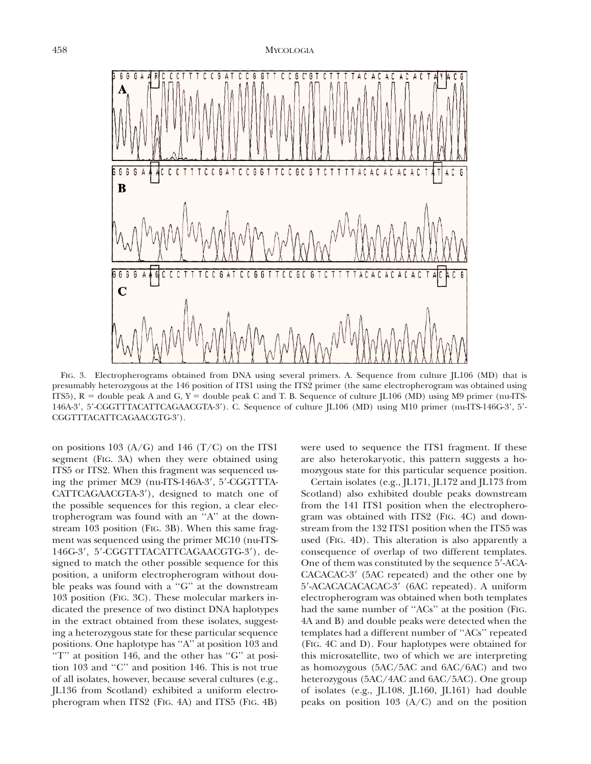

FIG. 3. Electropherograms obtained from DNA using several primers. A. Sequence from culture [L106 (MD) that is presumably heterozygous at the 146 position of ITS1 using the ITS2 primer (the same electropherogram was obtained using ITS5),  $R =$  double peak A and G,  $Y =$  double peak C and T. B. Sequence of culture JL106 (MD) using M9 primer (nu-ITS-146A-3', 5'-CGGTTTACATTCAGAACGTA-3'). C. Sequence of culture [L106 (MD) using M10 primer (nu-ITS-146G-3', 5'-CGGTTTACATTCAGAACGTG-3').

on positions 103  $(A/G)$  and 146  $(T/C)$  on the ITS1 segment (FIG. 3A) when they were obtained using ITS5 or ITS2. When this fragment was sequenced using the primer MC9 (nu-ITS-146A-3', 5'-CGGTTTA-CATTCAGAACGTA-3'), designed to match one of the possible sequences for this region, a clear electropherogram was found with an ''A'' at the downstream 103 position (FIG. 3B). When this same fragment was sequenced using the primer MC10 (nu-ITS-146G-3', 5'-CGGTTTACATTCAGAACGTG-3'), designed to match the other possible sequence for this position, a uniform electropherogram without double peaks was found with a ''G'' at the downstream 103 position (FIG. 3C). These molecular markers indicated the presence of two distinct DNA haplotypes in the extract obtained from these isolates, suggesting a heterozygous state for these particular sequence positions. One haplotype has ''A'' at position 103 and ''T'' at position 146, and the other has ''G'' at position 103 and ''C'' and position 146. This is not true of all isolates, however, because several cultures (e.g., JL136 from Scotland) exhibited a uniform electropherogram when ITS2 (FIG. 4A) and ITS5 (FIG. 4B)

were used to sequence the ITS1 fragment. If these are also heterokaryotic, this pattern suggests a homozygous state for this particular sequence position.

Certain isolates (e.g., JL171, JL172 and JL173 from Scotland) also exhibited double peaks downstream from the 141 ITS1 position when the electropherogram was obtained with ITS2 (FIG. 4C) and downstream from the 132 ITS1 position when the ITS5 was used (FIG. 4D). This alteration is also apparently a consequence of overlap of two different templates. One of them was constituted by the sequence 5'-ACA- $CACAC-3'$  (5AC repeated) and the other one by 5'-ACACACACACAC-3' (6AC repeated). A uniform electropherogram was obtained when both templates had the same number of ''ACs'' at the position (FIG. 4A and B) and double peaks were detected when the templates had a different number of ''ACs'' repeated (FIG. 4C and D). Four haplotypes were obtained for this microsatellite, two of which we are interpreting as homozygous (5AC/5AC and 6AC/6AC) and two heterozygous (5AC/4AC and 6AC/5AC). One group of isolates (e.g., JL108, JL160, JL161) had double peaks on position 103 (A/C) and on the position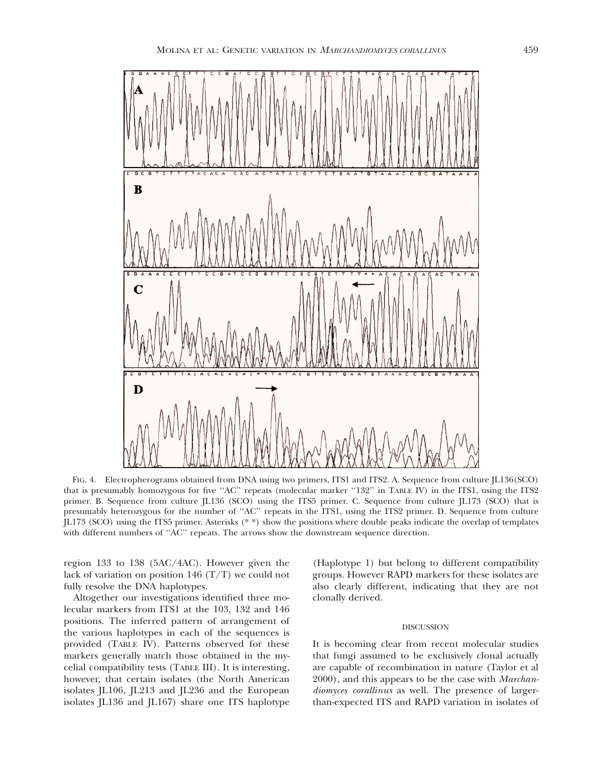

FIG. 4. Electropherograms obtained from DNA using two primers, ITS1 and ITS2. A. Sequence from culture JL136(SCO) that is presumably homozygous for five "AC" repeats (molecular marker "132" in TABLE IV) in the ITS1, using the ITS2 primer. B. Sequence from culture JL136 (SCO) using the ITS5 primer. C. Sequence from culture JL173 (SCO) that is presumably heterozygous for the number of ''AC'' repeats in the ITS1, using the ITS2 primer. D. Sequence from culture JL173 (SCO) using the ITS5 primer. Asterisks (\* \*) show the positions where double peaks indicate the overlap of templates with different numbers of "AC" repeats. The arrows show the downstream sequence direction.

region 133 to 138 (5AC/4AC). However given the lack of variation on position 146  $(T/T)$  we could not fully resolve the DNA haplotypes.

Altogether our investigations identified three molecular markers from ITS1 at the 103, 132 and 146 positions. The inferred pattern of arrangement of the various haplotypes in each of the sequences is provided (TABLE IV). Patterns observed for these markers generally match those obtained in the mycelial compatibility tests (TABLE III). It is interesting, however, that certain isolates (the North American isolates JL106, JL213 and JL236 and the European isolates JL136 and JL167) share one ITS haplotype

(Haplotype 1) but belong to different compatibility groups. However RAPD markers for these isolates are also clearly different, indicating that they are not clonally derived.

## DISCUSSION

It is becoming clear from recent molecular studies that fungi assumed to be exclusively clonal actually are capable of recombination in nature (Taylor et al 2000), and this appears to be the case with *Marchandiomyces corallinus* as well. The presence of largerthan-expected ITS and RAPD variation in isolates of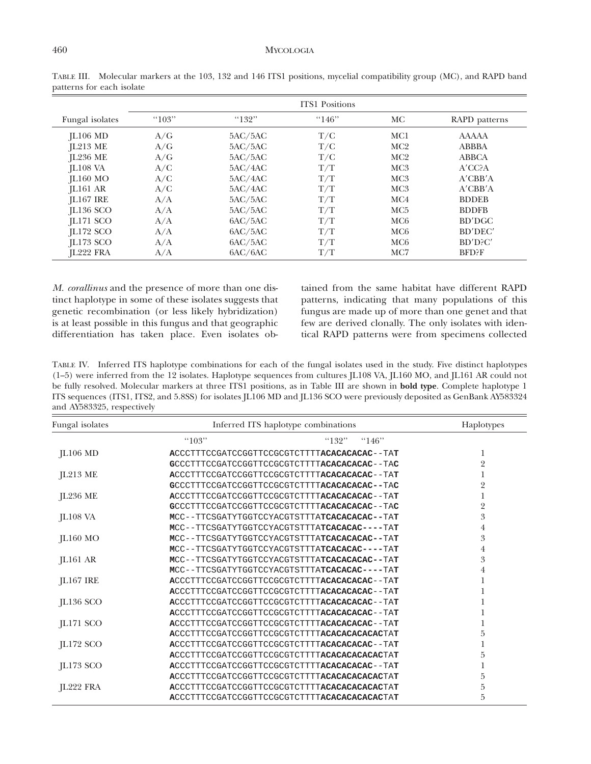# 460 MYCOLOGIA

|                  |          |         | <b>ITS1</b> Positions |                 |                      |
|------------------|----------|---------|-----------------------|-----------------|----------------------|
| Fungal isolates  | " $103"$ | "132"   | "146"                 | МC              | <b>RAPD</b> patterns |
| IL106 MD         | A/G      | 5AC/5AC | T/C                   | MC1             | <b>AAAAA</b>         |
| IL213 ME         | A/G      | 5AC/5AC | T/C                   | MC2             | <b>ABBBA</b>         |
| IL236 ME         | A/G      | 5AC/5AC | T/C                   | MC2             | <b>ABBCA</b>         |
| IL108 VA         | A/C      | 5AC/4AC | T/T                   | MC <sub>3</sub> | A'CC?A               |
| IL160 MO         | A/C      | 5AC/4AC | T/T                   | MC <sub>3</sub> | A'CBB'A              |
| IL161 AR         | A/C      | 5AC/4AC | T/T                   | MC <sub>3</sub> | A'CBB'A              |
| <b>IL167 IRE</b> | A/A      | 5AC/5AC | T/T                   | MC <sub>4</sub> | <b>BDDEB</b>         |
| $IL136$ SCO      | A/A      | 5AC/5AC | T/T                   | MC <sub>5</sub> | <b>BDDFB</b>         |
| <b>IL171 SCO</b> | A/A      | 6AC/5AC | T/T                   | MC <sub>6</sub> | BD'DGC               |
| IL172 SCO        | A/A      | 6AC/5AC | T/T                   | MC <sub>6</sub> | BD'DEC'              |
| IL173 SCO        | A/A      | 6AC/5AC | T/T                   | MC <sub>6</sub> | BD'D?C'              |
| <b>IL222 FRA</b> | A/A      | 6AC/6AC | T/T                   | MC7             | <b>BFD?F</b>         |

TABLE III. Molecular markers at the 103, 132 and 146 ITS1 positions, mycelial compatibility group (MC), and RAPD band patterns for each isolate

*M. corallinus* and the presence of more than one distinct haplotype in some of these isolates suggests that genetic recombination (or less likely hybridization) is at least possible in this fungus and that geographic differentiation has taken place. Even isolates ob-

tained from the same habitat have different RAPD patterns, indicating that many populations of this fungus are made up of more than one genet and that few are derived clonally. The only isolates with identical RAPD patterns were from specimens collected

TABLE IV. Inferred ITS haplotype combinations for each of the fungal isolates used in the study. Five distinct haplotypes (1–5) were inferred from the 12 isolates. Haplotype sequences from cultures JL108 VA, JL160 MO, and JL161 AR could not be fully resolved. Molecular markers at three ITS1 positions, as in Table III are shown in **bold type**. Complete haplotype 1 ITS sequences (ITS1, ITS2, and 5.8SS) for isolates JL106 MD and JL136 SCO were previously deposited as GenBank AY583324 and AY583325, respectively

| Fungal isolates | Inferred ITS haplotype combinations | Haplotypes                                   |                |
|-----------------|-------------------------------------|----------------------------------------------|----------------|
|                 | " $103"$                            | "146"<br>" $132"$                            |                |
| IL106 MD        |                                     | ACCCTTTCCGATCCGGTTCCGCGTCTTTTACACACACAC--TAT |                |
|                 |                                     | GCCCTTTCCGATCCGGTTCCGCGTCTTTTACACACACAC--TAC | $\overline{2}$ |
| JL213 ME        |                                     | ACCCTTTCCGATCCGGTTCCGCGTCTTTTACACACACAC--TAT |                |
|                 |                                     | GCCCTTTCCGATCCGGTTCCGCGTCTTTTACACACACAC--TAC | 2              |
| JL236 ME        |                                     | ACCCTTTCCGATCCGGTTCCGCGTCTTTTACACACACAC--TAT |                |
|                 |                                     | GCCCTTTCCGATCCGGTTCCGCGTCTTTTACACACACAC--TAC | $\overline{2}$ |
| <b>JL108 VA</b> |                                     | MCC--TTCSGATYTGGTCCYACGTSTTTATCACACACAC--TAT | 3              |
|                 |                                     | MCC--TTCSGATYTGGTCCYACGTSTTTATCACACAC----TAT | 4              |
| JL160 MO        |                                     | MCC--TTCSGATYTGGTCCYACGTSTTTATCACACACAC--TAT | 3              |
|                 |                                     | MCC--TTCSGATYTGGTCCYACGTSTTTATCACACAC----TAT | 4              |
| JL161 AR        |                                     | MCC--TTCSGATYTGGTCCYACGTSTTTATCACACACAC--TAT | 3              |
|                 |                                     | MCC--TTCSGATYTGGTCCYACGTSTTTATCACACAC----TAT |                |
| JL167 IRE       |                                     | ACCCTTTCCGATCCGGTTCCGCGTCTTTTACACACACAC--TAT |                |
|                 |                                     | ACCCTTTCCGATCCGGTTCCGCGTCTTTTACACACACAC--TAT |                |
| JL136 SCO       |                                     | ACCCTTTCCGATCCGGTTCCGCGTCTTTTACACACACAC--TAT |                |
|                 |                                     | ACCCTTTCCGATCCGGTTCCGCGTCTTTTACACACACAC--TAT |                |
| JL171 SCO       |                                     | ACCCTTTCCGATCCGGTTCCGCGTCTTTTACACACACAC--TAT |                |
|                 |                                     |                                              |                |
| JL172 SCO       |                                     | ACCCTTTCCGATCCGGTTCCGCGTCTTTTACACACACAC--TAT |                |
|                 |                                     |                                              | 5              |
| JL173 SCO       |                                     | ACCCTTTCCGATCCGGTTCCGCGTCTTTTACACACACAC--TAT |                |
|                 |                                     |                                              | 5              |
| JL222 FRA       |                                     |                                              | 5              |
|                 |                                     |                                              | 5              |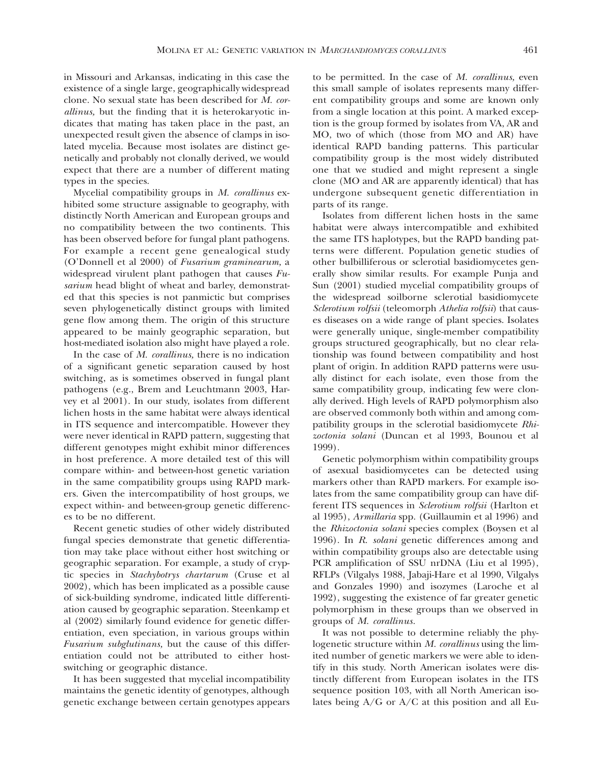in Missouri and Arkansas, indicating in this case the existence of a single large, geographically widespread clone. No sexual state has been described for *M. corallinus,* but the finding that it is heterokaryotic indicates that mating has taken place in the past, an unexpected result given the absence of clamps in isolated mycelia. Because most isolates are distinct genetically and probably not clonally derived, we would expect that there are a number of different mating types in the species.

Mycelial compatibility groups in *M. corallinus* exhibited some structure assignable to geography, with distinctly North American and European groups and no compatibility between the two continents. This has been observed before for fungal plant pathogens. For example a recent gene genealogical study (O'Donnell et al 2000) of *Fusarium graminearum,* a widespread virulent plant pathogen that causes *Fusarium* head blight of wheat and barley, demonstrated that this species is not panmictic but comprises seven phylogenetically distinct groups with limited gene flow among them. The origin of this structure appeared to be mainly geographic separation, but host-mediated isolation also might have played a role.

In the case of *M. corallinus,* there is no indication of a significant genetic separation caused by host switching, as is sometimes observed in fungal plant pathogens (e.g., Brem and Leuchtmann 2003, Harvey et al 2001). In our study, isolates from different lichen hosts in the same habitat were always identical in ITS sequence and intercompatible. However they were never identical in RAPD pattern, suggesting that different genotypes might exhibit minor differences in host preference. A more detailed test of this will compare within- and between-host genetic variation in the same compatibility groups using RAPD markers. Given the intercompatibility of host groups, we expect within- and between-group genetic differences to be no different.

Recent genetic studies of other widely distributed fungal species demonstrate that genetic differentiation may take place without either host switching or geographic separation. For example, a study of cryptic species in *Stachybotrys chartarum* (Cruse et al 2002), which has been implicated as a possible cause of sick-building syndrome, indicated little differentiation caused by geographic separation. Steenkamp et al (2002) similarly found evidence for genetic differentiation, even speciation, in various groups within *Fusarium subglutinans,* but the cause of this differentiation could not be attributed to either hostswitching or geographic distance.

It has been suggested that mycelial incompatibility maintains the genetic identity of genotypes, although genetic exchange between certain genotypes appears

to be permitted. In the case of *M. corallinus,* even this small sample of isolates represents many different compatibility groups and some are known only from a single location at this point. A marked exception is the group formed by isolates from VA, AR and MO, two of which (those from MO and AR) have identical RAPD banding patterns. This particular compatibility group is the most widely distributed one that we studied and might represent a single clone (MO and AR are apparently identical) that has undergone subsequent genetic differentiation in parts of its range.

Isolates from different lichen hosts in the same habitat were always intercompatible and exhibited the same ITS haplotypes, but the RAPD banding patterns were different. Population genetic studies of other bulbilliferous or sclerotial basidiomycetes generally show similar results. For example Punja and Sun (2001) studied mycelial compatibility groups of the widespread soilborne sclerotial basidiomycete *Sclerotium rolfsii* (teleomorph *Athelia rolfsii*) that causes diseases on a wide range of plant species. Isolates were generally unique, single-member compatibility groups structured geographically, but no clear relationship was found between compatibility and host plant of origin. In addition RAPD patterns were usually distinct for each isolate, even those from the same compatibility group, indicating few were clonally derived. High levels of RAPD polymorphism also are observed commonly both within and among compatibility groups in the sclerotial basidiomycete *Rhizoctonia solani* (Duncan et al 1993, Bounou et al 1999).

Genetic polymorphism within compatibility groups of asexual basidiomycetes can be detected using markers other than RAPD markers. For example isolates from the same compatibility group can have different ITS sequences in *Sclerotium rolfsii* (Harlton et al 1995), *Armillaria* spp. (Guillaumin et al 1996) and the *Rhizoctonia solani* species complex (Boysen et al 1996). In *R. solani* genetic differences among and within compatibility groups also are detectable using PCR amplification of SSU nrDNA (Liu et al 1995), RFLPs (Vilgalys 1988, Jabaji-Hare et al 1990, Vilgalys and Gonzales 1990) and isozymes (Laroche et al 1992), suggesting the existence of far greater genetic polymorphism in these groups than we observed in groups of *M. corallinus.*

It was not possible to determine reliably the phylogenetic structure within *M. corallinus* using the limited number of genetic markers we were able to identify in this study. North American isolates were distinctly different from European isolates in the ITS sequence position 103, with all North American isolates being A/G or A/C at this position and all Eu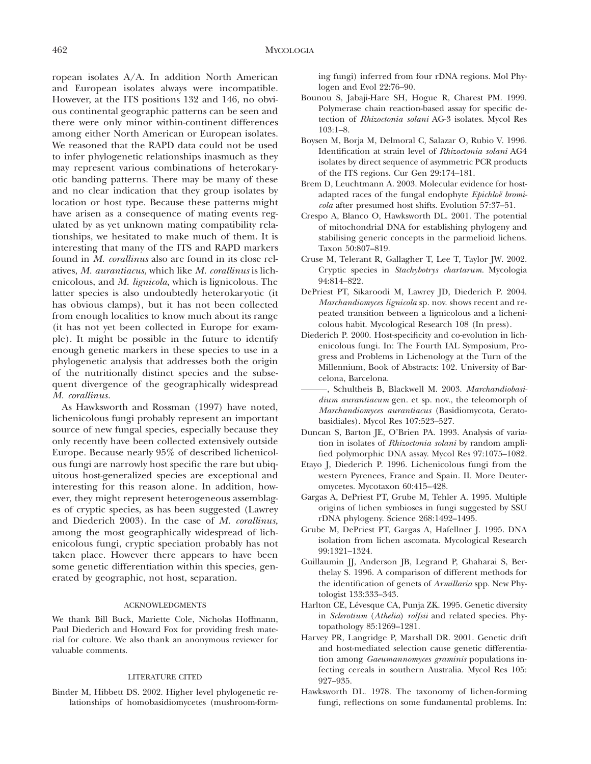ropean isolates A/A. In addition North American and European isolates always were incompatible. However, at the ITS positions 132 and 146, no obvious continental geographic patterns can be seen and there were only minor within-continent differences among either North American or European isolates. We reasoned that the RAPD data could not be used to infer phylogenetic relationships inasmuch as they may represent various combinations of heterokaryotic banding patterns. There may be many of these and no clear indication that they group isolates by location or host type. Because these patterns might have arisen as a consequence of mating events regulated by as yet unknown mating compatibility relationships, we hesitated to make much of them. It is interesting that many of the ITS and RAPD markers found in *M. corallinus* also are found in its close relatives, *M. aurantiacus,* which like *M. corallinus* is lichenicolous, and *M. lignicola,* which is lignicolous. The latter species is also undoubtedly heterokaryotic (it has obvious clamps), but it has not been collected from enough localities to know much about its range (it has not yet been collected in Europe for example). It might be possible in the future to identify enough genetic markers in these species to use in a phylogenetic analysis that addresses both the origin of the nutritionally distinct species and the subsequent divergence of the geographically widespread *M. corallinus.*

As Hawksworth and Rossman (1997) have noted, lichenicolous fungi probably represent an important source of new fungal species, especially because they only recently have been collected extensively outside Europe. Because nearly 95% of described lichenicolous fungi are narrowly host specific the rare but ubiquitous host-generalized species are exceptional and interesting for this reason alone. In addition, however, they might represent heterogeneous assemblages of cryptic species, as has been suggested (Lawrey and Diederich 2003). In the case of *M. corallinus,* among the most geographically widespread of lichenicolous fungi, cryptic speciation probably has not taken place. However there appears to have been some genetic differentiation within this species, generated by geographic, not host, separation.

# ACKNOWLEDGMENTS

We thank Bill Buck, Mariette Cole, Nicholas Hoffmann, Paul Diederich and Howard Fox for providing fresh material for culture. We also thank an anonymous reviewer for valuable comments.

#### LITERATURE CITED

Binder M, Hibbett DS. 2002. Higher level phylogenetic relationships of homobasidiomycetes (mushroom-forming fungi) inferred from four rDNA regions. Mol Phylogen and Evol 22:76–90.

- Bounou S, Jabaji-Hare SH, Hogue R, Charest PM. 1999. Polymerase chain reaction-based assay for specific detection of *Rhizoctonia solani* AG-3 isolates. Mycol Res 103:1–8.
- Boysen M, Borja M, Delmoral C, Salazar O, Rubio V. 1996. Identification at strain level of *Rhizoctonia solani* AG4 isolates by direct sequence of asymmetric PCR products of the ITS regions. Cur Gen 29:174–181.
- Brem D, Leuchtmann A. 2003. Molecular evidence for hostadapted races of the fungal endophyte *Epichloe¨ bromicola* after presumed host shifts. Evolution 57:37–51.
- Crespo A, Blanco O, Hawksworth DL. 2001. The potential of mitochondrial DNA for establishing phylogeny and stabilising generic concepts in the parmelioid lichens. Taxon 50:807–819.
- Cruse M, Telerant R, Gallagher T, Lee T, Taylor JW. 2002. Cryptic species in *Stachybotrys chartarum.* Mycologia 94:814–822.
- DePriest PT, Sikaroodi M, Lawrey JD, Diederich P. 2004. *Marchandiomyces lignicola* sp. nov. shows recent and repeated transition between a lignicolous and a lichenicolous habit. Mycological Research 108 (In press).
- Diederich P. 2000. Host-specificity and co-evolution in lichenicolous fungi. In: The Fourth IAL Symposium, Progress and Problems in Lichenology at the Turn of the Millennium, Book of Abstracts: 102. University of Barcelona, Barcelona.
- , Schultheis B, Blackwell M. 2003. *Marchandiobasidium aurantiacum* gen. et sp. nov., the teleomorph of *Marchandiomyces aurantiacus* (Basidiomycota, Ceratobasidiales). Mycol Res 107:523–527.
- Duncan S, Barton JE, O'Brien PA. 1993. Analysis of variation in isolates of *Rhizoctonia solani* by random amplified polymorphic DNA assay. Mycol Res 97:1075–1082.
- Etayo J, Diederich P. 1996. Lichenicolous fungi from the western Pyrenees, France and Spain. II. More Deuteromycetes. Mycotaxon 60:415–428.
- Gargas A, DePriest PT, Grube M, Tehler A. 1995. Multiple origins of lichen symbioses in fungi suggested by SSU rDNA phylogeny. Science 268:1492–1495.
- Grube M, DePriest PT, Gargas A, Hafellner J. 1995. DNA isolation from lichen ascomata. Mycological Research 99:1321–1324.
- Guillaumin JJ, Anderson JB, Legrand P, Ghaharai S, Berthelay S. 1996. A comparison of different methods for the identification of genets of *Armillaria* spp. New Phytologist 133:333–343.
- Harlton CE, Lévesque CA, Punja ZK. 1995. Genetic diversity in *Sclerotium* (*Athelia*) *rolfsii* and related species. Phytopathology 85:1269–1281.
- Harvey PR, Langridge P, Marshall DR. 2001. Genetic drift and host-mediated selection cause genetic differentiation among *Gaeumannomyces graminis* populations infecting cereals in southern Australia. Mycol Res 105: 927–935.
- Hawksworth DL. 1978. The taxonomy of lichen-forming fungi, reflections on some fundamental problems. In: